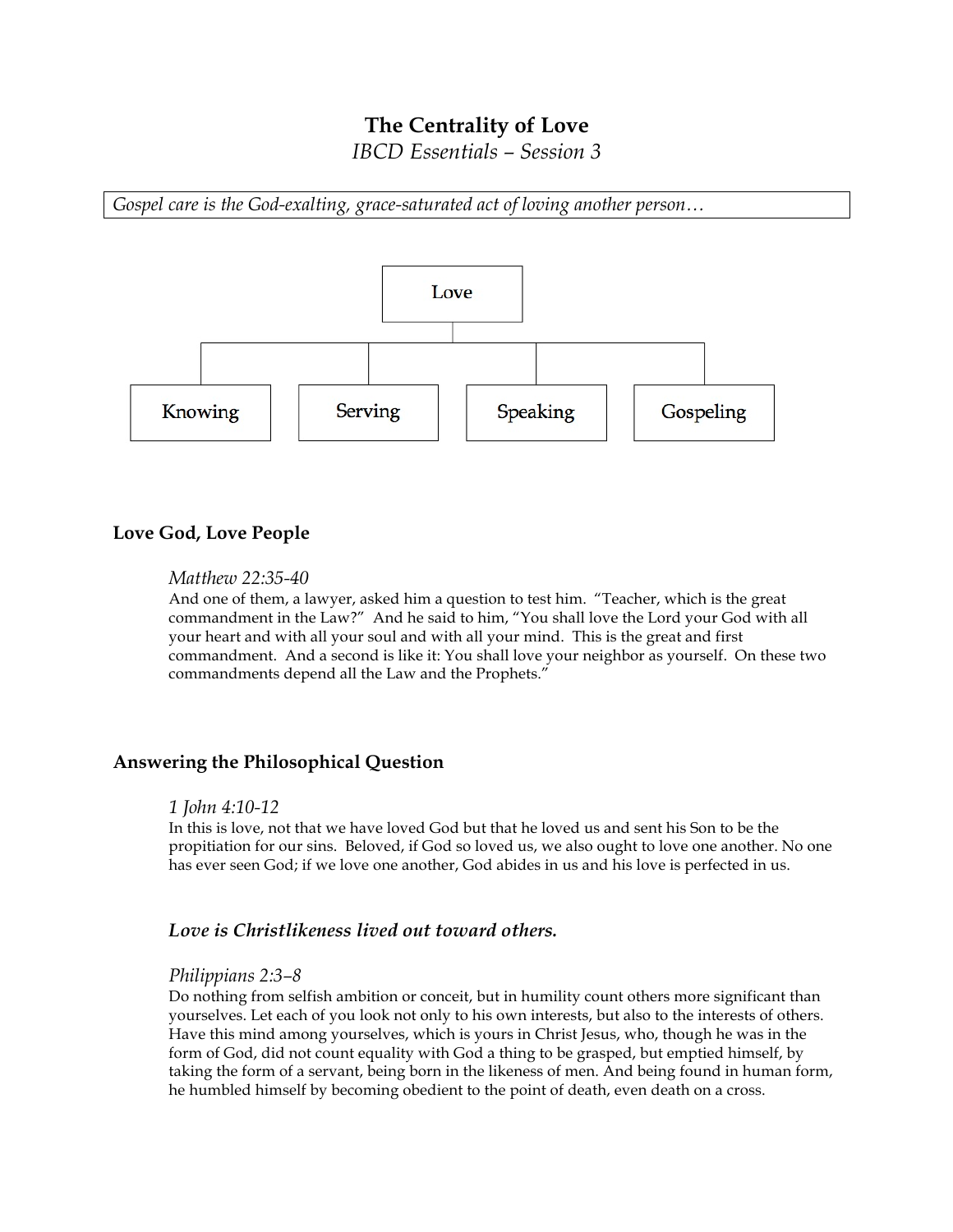# **The Centrality of Love**

*IBCD Essentials – Session 3*

*Gospel care is the God-exalting, grace-saturated act of loving another person…*



## **Love God, Love People**

### *Matthew 22:35-40*

And one of them, a lawyer, asked him a question to test him. "Teacher, which is the great commandment in the Law?" And he said to him, "You shall love the Lord your God with all your heart and with all your soul and with all your mind. This is the great and first commandment. And a second is like it: You shall love your neighbor as yourself. On these two commandments depend all the Law and the Prophets."

## **Answering the Philosophical Question**

#### *1 John 4:10-12*

In this is love, not that we have loved God but that he loved us and sent his Son to be the propitiation for our sins. Beloved, if God so loved us, we also ought to love one another. No one has ever seen God; if we love one another, God abides in us and his love is perfected in us.

## *Love is Christlikeness lived out toward others.*

#### *Philippians 2:3–8*

Do nothing from selfish ambition or conceit, but in humility count others more significant than yourselves. Let each of you look not only to his own interests, but also to the interests of others. Have this mind among yourselves, which is yours in Christ Jesus, who, though he was in the form of God, did not count equality with God a thing to be grasped, but emptied himself, by taking the form of a servant, being born in the likeness of men. And being found in human form, he humbled himself by becoming obedient to the point of death, even death on a cross.